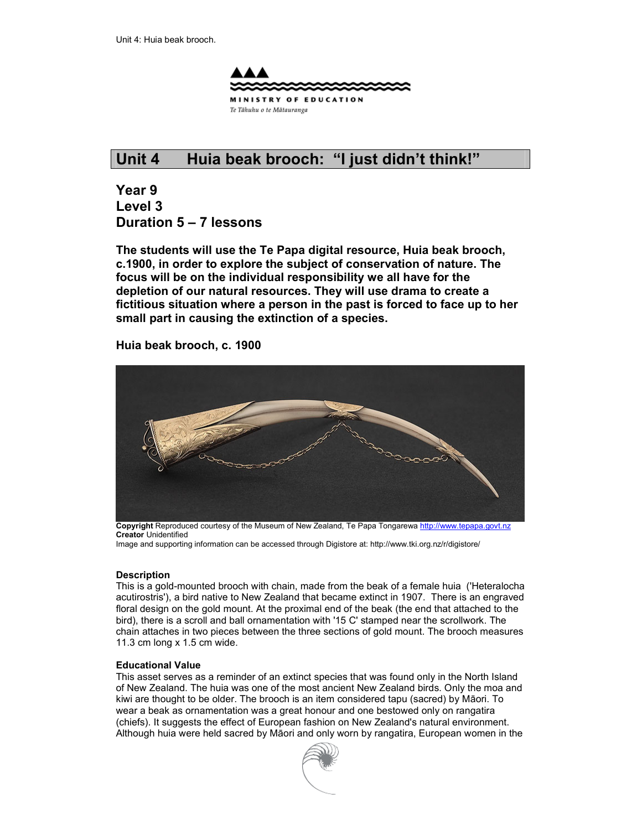

## **Unit 4 Huia beak brooch: "I just didn't think!"**

**Year 9 Level 3 Duration 5 – 7 lessons** 

**The students will use the Te Papa digital resource, Huia beak brooch, c.1900, in order to explore the subject of conservation of nature. The focus will be on the individual responsibility we all have for the depletion of our natural resources. They will use drama to create a fictitious situation where a person in the past is forced to face up to her small part in causing the extinction of a species.** 

#### **Huia beak brooch, c. 1900**



**Copyright** Reproduced courtesy of the Museum of New Zealand, Te Papa Tongarewa http://www.tepapa.govt.nz **Creator** Unidentified

Image and supporting information can be accessed through Digistore at: http://www.tki.org.nz/r/digistore/

#### **Description**

This is a gold-mounted brooch with chain, made from the beak of a female huia ('Heteralocha acutirostris'), a bird native to New Zealand that became extinct in 1907. There is an engraved floral design on the gold mount. At the proximal end of the beak (the end that attached to the bird), there is a scroll and ball ornamentation with '15 C' stamped near the scrollwork. The chain attaches in two pieces between the three sections of gold mount. The brooch measures 11.3 cm long x 1.5 cm wide.

#### **Educational Value**

This asset serves as a reminder of an extinct species that was found only in the North Island of New Zealand. The huia was one of the most ancient New Zealand birds. Only the moa and kiwi are thought to be older. The brooch is an item considered tapu (sacred) by Māori. To wear a beak as ornamentation was a great honour and one bestowed only on rangatira (chiefs). It suggests the effect of European fashion on New Zealand's natural environment. Although huia were held sacred by Māori and only worn by rangatira, European women in the

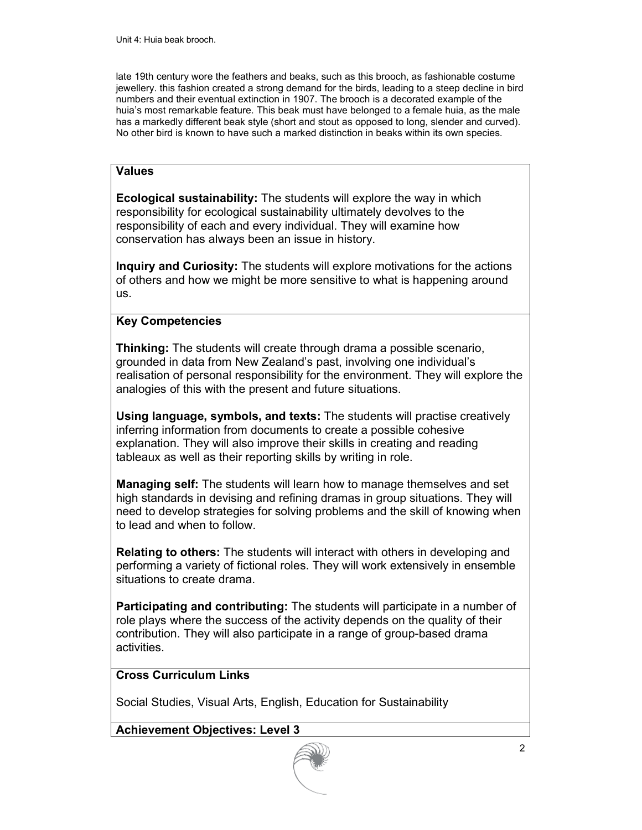late 19th century wore the feathers and beaks, such as this brooch, as fashionable costume jewellery. this fashion created a strong demand for the birds, leading to a steep decline in bird numbers and their eventual extinction in 1907. The brooch is a decorated example of the huia's most remarkable feature. This beak must have belonged to a female huia, as the male has a markedly different beak style (short and stout as opposed to long, slender and curved). No other bird is known to have such a marked distinction in beaks within its own species.

#### **Values**

**Ecological sustainability:** The students will explore the way in which responsibility for ecological sustainability ultimately devolves to the responsibility of each and every individual. They will examine how conservation has always been an issue in history.

**Inquiry and Curiosity:** The students will explore motivations for the actions of others and how we might be more sensitive to what is happening around us.

#### **Key Competencies**

**Thinking:** The students will create through drama a possible scenario, grounded in data from New Zealand's past, involving one individual's realisation of personal responsibility for the environment. They will explore the analogies of this with the present and future situations.

**Using language, symbols, and texts:** The students will practise creatively inferring information from documents to create a possible cohesive explanation. They will also improve their skills in creating and reading tableaux as well as their reporting skills by writing in role.

**Managing self:** The students will learn how to manage themselves and set high standards in devising and refining dramas in group situations. They will need to develop strategies for solving problems and the skill of knowing when to lead and when to follow.

**Relating to others:** The students will interact with others in developing and performing a variety of fictional roles. They will work extensively in ensemble situations to create drama.

**Participating and contributing:** The students will participate in a number of role plays where the success of the activity depends on the quality of their contribution. They will also participate in a range of group-based drama activities.

#### **Cross Curriculum Links**

Social Studies, Visual Arts, English, Education for Sustainability

**Achievement Objectives: Level 3** 

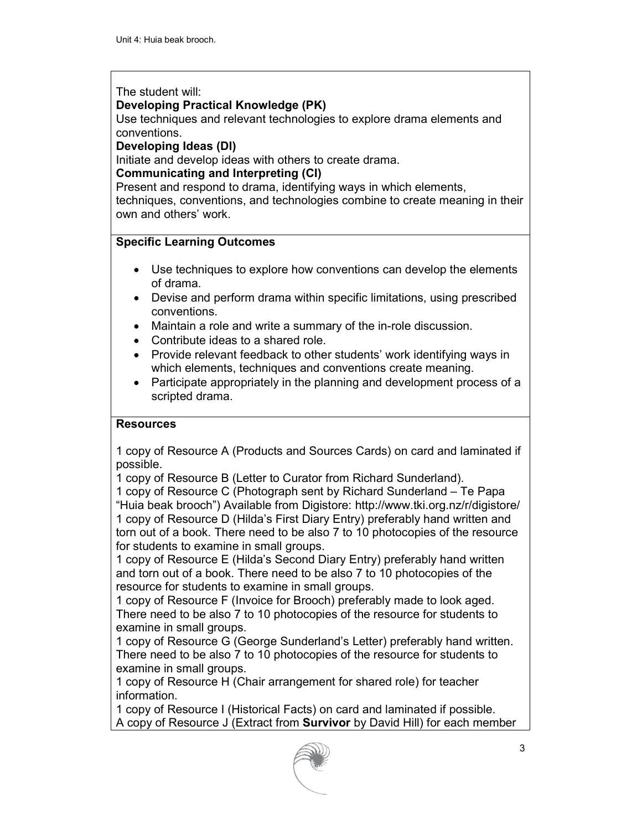#### The student will:

#### **Developing Practical Knowledge (PK)**

Use techniques and relevant technologies to explore drama elements and conventions.

#### **Developing Ideas (DI)**

Initiate and develop ideas with others to create drama.

#### **Communicating and Interpreting (CI)**

Present and respond to drama, identifying ways in which elements, techniques, conventions, and technologies combine to create meaning in their own and others' work.

#### **Specific Learning Outcomes**

- Use techniques to explore how conventions can develop the elements of drama.
- Devise and perform drama within specific limitations, using prescribed conventions.
- Maintain a role and write a summary of the in-role discussion.
- Contribute ideas to a shared role.
- Provide relevant feedback to other students' work identifying ways in which elements, techniques and conventions create meaning.
- Participate appropriately in the planning and development process of a scripted drama.

#### **Resources**

1 copy of Resource A (Products and Sources Cards) on card and laminated if possible.

1 copy of Resource B (Letter to Curator from Richard Sunderland).

1 copy of Resource C (Photograph sent by Richard Sunderland – Te Papa "Huia beak brooch") Available from Digistore: http://www.tki.org.nz/r/digistore/ 1 copy of Resource D (Hilda's First Diary Entry) preferably hand written and torn out of a book. There need to be also 7 to 10 photocopies of the resource for students to examine in small groups.

1 copy of Resource E (Hilda's Second Diary Entry) preferably hand written and torn out of a book. There need to be also 7 to 10 photocopies of the resource for students to examine in small groups.

1 copy of Resource F (Invoice for Brooch) preferably made to look aged. There need to be also 7 to 10 photocopies of the resource for students to examine in small groups.

1 copy of Resource G (George Sunderland's Letter) preferably hand written. There need to be also 7 to 10 photocopies of the resource for students to examine in small groups.

1 copy of Resource H (Chair arrangement for shared role) for teacher information.

1 copy of Resource I (Historical Facts) on card and laminated if possible. A copy of Resource J (Extract from **Survivor** by David Hill) for each member

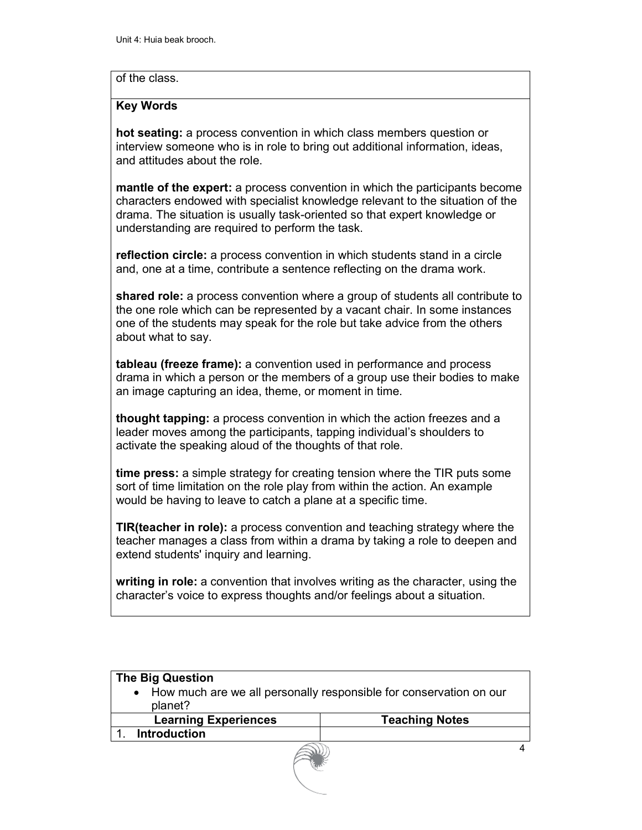#### of the class.

#### **Key Words**

**hot seating:** a process convention in which class members question or interview someone who is in role to bring out additional information, ideas, and attitudes about the role.

**mantle of the expert:** a process convention in which the participants become characters endowed with specialist knowledge relevant to the situation of the drama. The situation is usually task-oriented so that expert knowledge or understanding are required to perform the task.

**reflection circle:** a process convention in which students stand in a circle and, one at a time, contribute a sentence reflecting on the drama work.

**shared role:** a process convention where a group of students all contribute to the one role which can be represented by a vacant chair. In some instances one of the students may speak for the role but take advice from the others about what to say.

**tableau (freeze frame):** a convention used in performance and process drama in which a person or the members of a group use their bodies to make an image capturing an idea, theme, or moment in time.

**thought tapping:** a process convention in which the action freezes and a leader moves among the participants, tapping individual's shoulders to activate the speaking aloud of the thoughts of that role.

**time press:** a simple strategy for creating tension where the TIR puts some sort of time limitation on the role play from within the action. An example would be having to leave to catch a plane at a specific time.

**TIR(teacher in role):** a process convention and teaching strategy where the teacher manages a class from within a drama by taking a role to deepen and extend students' inquiry and learning.

**writing in role:** a convention that involves writing as the character, using the character's voice to express thoughts and/or feelings about a situation.

| <b>The Big Question</b><br>• How much are we all personally responsible for conservation on our<br>planet? |                       |
|------------------------------------------------------------------------------------------------------------|-----------------------|
| <b>Learning Experiences</b>                                                                                | <b>Teaching Notes</b> |
| <b>Introduction</b>                                                                                        |                       |
|                                                                                                            |                       |

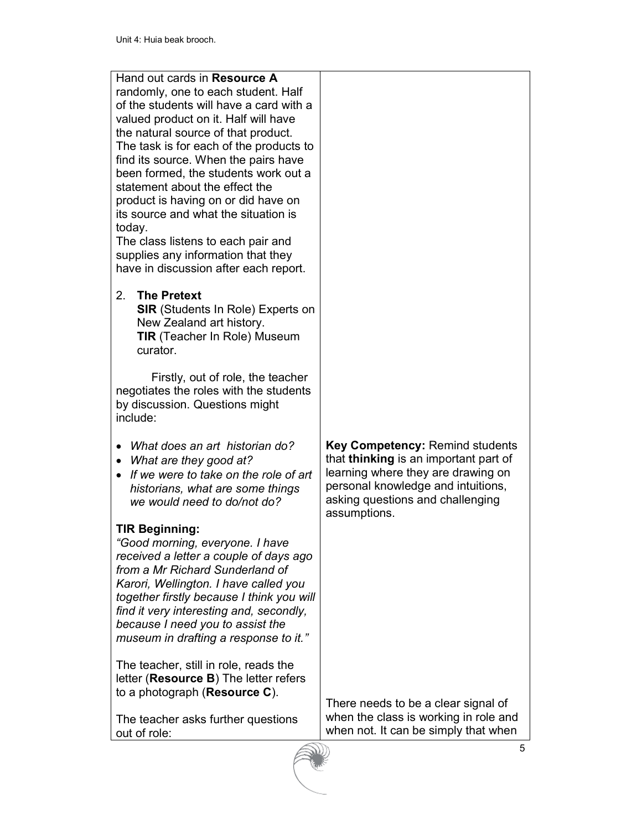| Hand out cards in Resource A<br>randomly, one to each student. Half<br>of the students will have a card with a<br>valued product on it. Half will have<br>the natural source of that product.<br>The task is for each of the products to<br>find its source. When the pairs have<br>been formed, the students work out a<br>statement about the effect the<br>product is having on or did have on<br>its source and what the situation is<br>today.<br>The class listens to each pair and<br>supplies any information that they<br>have in discussion after each report. |                                                                                                                                                                                                                 |
|--------------------------------------------------------------------------------------------------------------------------------------------------------------------------------------------------------------------------------------------------------------------------------------------------------------------------------------------------------------------------------------------------------------------------------------------------------------------------------------------------------------------------------------------------------------------------|-----------------------------------------------------------------------------------------------------------------------------------------------------------------------------------------------------------------|
| 2.<br><b>The Pretext</b><br><b>SIR</b> (Students In Role) Experts on<br>New Zealand art history.<br><b>TIR</b> (Teacher In Role) Museum<br>curator.                                                                                                                                                                                                                                                                                                                                                                                                                      |                                                                                                                                                                                                                 |
| Firstly, out of role, the teacher<br>negotiates the roles with the students<br>by discussion. Questions might<br>include:                                                                                                                                                                                                                                                                                                                                                                                                                                                |                                                                                                                                                                                                                 |
| What does an art historian do?<br>What are they good at?<br>If we were to take on the role of art<br>$\bullet$<br>historians, what are some things<br>we would need to do/not do?                                                                                                                                                                                                                                                                                                                                                                                        | <b>Key Competency: Remind students</b><br>that thinking is an important part of<br>learning where they are drawing on<br>personal knowledge and intuitions,<br>asking questions and challenging<br>assumptions. |
| <b>TIR Beginning:</b><br>"Good morning, everyone. I have<br>received a letter a couple of days ago<br>from a Mr Richard Sunderland of<br>Karori, Wellington. I have called you<br>together firstly because I think you will<br>find it very interesting and, secondly,<br>because I need you to assist the<br>museum in drafting a response to it."                                                                                                                                                                                                                      |                                                                                                                                                                                                                 |
| The teacher, still in role, reads the<br>letter (Resource B) The letter refers<br>to a photograph (Resource C).<br>The teacher asks further questions<br>out of role:                                                                                                                                                                                                                                                                                                                                                                                                    | There needs to be a clear signal of<br>when the class is working in role and<br>when not. It can be simply that when                                                                                            |

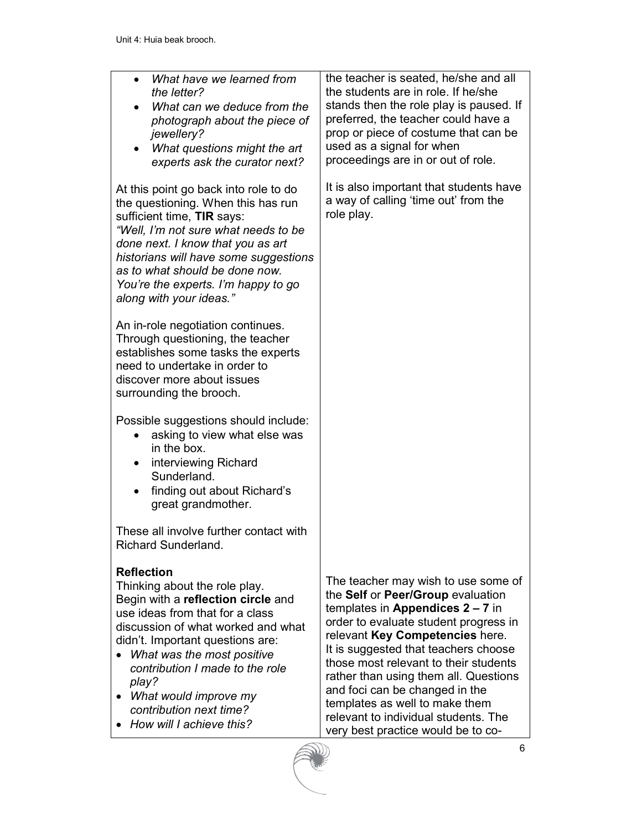- *What have we learned from the letter?*
- *What can we deduce from the photograph about the piece of jewellery?*
- *What questions might the art experts ask the curator next?*

At this point go back into role to do the questioning. When this has run sufficient time, **TIR** says:

*"Well, I'm not sure what needs to be done next. I know that you as art historians will have some suggestions as to what should be done now. You're the experts. I'm happy to go along with your ideas."* 

An in-role negotiation continues. Through questioning, the teacher establishes some tasks the experts need to undertake in order to discover more about issues surrounding the brooch.

Possible suggestions should include:

- asking to view what else was in the box.
- interviewing Richard Sunderland.
- finding out about Richard's great grandmother.

These all involve further contact with Richard Sunderland.

### **Reflection**

Thinking about the role play. Begin with a **reflection circle** and use ideas from that for a class discussion of what worked and what didn't. Important questions are:

- *What was the most positive contribution I made to the role play?*
- *What would improve my contribution next time?*
- *How will I achieve this?*

the teacher is seated, he/she and all the students are in role. If he/she stands then the role play is paused. If preferred, the teacher could have a prop or piece of costume that can be used as a signal for when proceedings are in or out of role.

It is also important that students have a way of calling 'time out' from the role play.

The teacher may wish to use some of the **Self** or **Peer/Group** evaluation templates in **Appendices 2 – 7** in order to evaluate student progress in relevant **Key Competencies** here. It is suggested that teachers choose those most relevant to their students rather than using them all. Questions and foci can be changed in the templates as well to make them relevant to individual students. The very best practice would be to co-

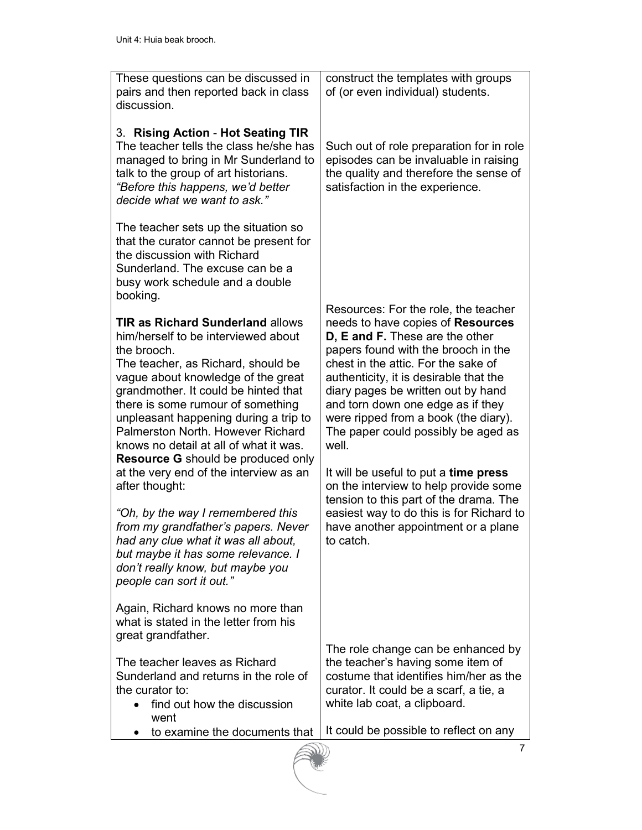| These questions can be discussed in<br>pairs and then reported back in class<br>discussion.                                                                                                                                                                                                                                                                                                                                 | construct the templates with groups<br>of (or even individual) students.                                                                                                                                                                                                                                                                                                                                |
|-----------------------------------------------------------------------------------------------------------------------------------------------------------------------------------------------------------------------------------------------------------------------------------------------------------------------------------------------------------------------------------------------------------------------------|---------------------------------------------------------------------------------------------------------------------------------------------------------------------------------------------------------------------------------------------------------------------------------------------------------------------------------------------------------------------------------------------------------|
| 3. Rising Action - Hot Seating TIR<br>The teacher tells the class he/she has<br>managed to bring in Mr Sunderland to<br>talk to the group of art historians.<br>"Before this happens, we'd better<br>decide what we want to ask."                                                                                                                                                                                           | Such out of role preparation for in role<br>episodes can be invaluable in raising<br>the quality and therefore the sense of<br>satisfaction in the experience.                                                                                                                                                                                                                                          |
| The teacher sets up the situation so<br>that the curator cannot be present for<br>the discussion with Richard<br>Sunderland. The excuse can be a<br>busy work schedule and a double<br>booking.                                                                                                                                                                                                                             |                                                                                                                                                                                                                                                                                                                                                                                                         |
| <b>TIR as Richard Sunderland allows</b><br>him/herself to be interviewed about<br>the brooch.<br>The teacher, as Richard, should be<br>vague about knowledge of the great<br>grandmother. It could be hinted that<br>there is some rumour of something<br>unpleasant happening during a trip to<br>Palmerston North, However Richard<br>knows no detail at all of what it was.<br><b>Resource G</b> should be produced only | Resources: For the role, the teacher<br>needs to have copies of Resources<br>D, E and F. These are the other<br>papers found with the brooch in the<br>chest in the attic. For the sake of<br>authenticity, it is desirable that the<br>diary pages be written out by hand<br>and torn down one edge as if they<br>were ripped from a book (the diary).<br>The paper could possibly be aged as<br>well. |
| at the very end of the interview as an<br>after thought:<br>"Oh, by the way I remembered this<br>from my grandfather's papers. Never<br>had any clue what it was all about,<br>but maybe it has some relevance. I<br>don't really know, but maybe you<br>people can sort it out."                                                                                                                                           | It will be useful to put a time press<br>on the interview to help provide some<br>tension to this part of the drama. The<br>easiest way to do this is for Richard to<br>have another appointment or a plane<br>to catch.                                                                                                                                                                                |
| Again, Richard knows no more than<br>what is stated in the letter from his<br>great grandfather.                                                                                                                                                                                                                                                                                                                            |                                                                                                                                                                                                                                                                                                                                                                                                         |
| The teacher leaves as Richard<br>Sunderland and returns in the role of<br>the curator to:<br>find out how the discussion<br>went                                                                                                                                                                                                                                                                                            | The role change can be enhanced by<br>the teacher's having some item of<br>costume that identifies him/her as the<br>curator. It could be a scarf, a tie, a<br>white lab coat, a clipboard.                                                                                                                                                                                                             |
| to examine the documents that                                                                                                                                                                                                                                                                                                                                                                                               | It could be possible to reflect on any<br>$\overline{7}$                                                                                                                                                                                                                                                                                                                                                |
|                                                                                                                                                                                                                                                                                                                                                                                                                             |                                                                                                                                                                                                                                                                                                                                                                                                         |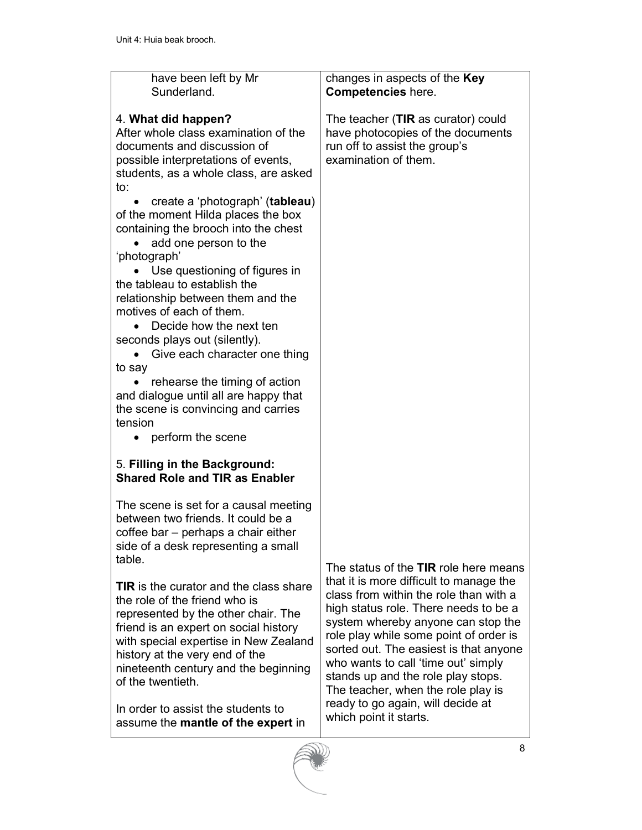| have been left by Mr<br>Sunderland.                                                                                                                                                                                                                                                                    | changes in aspects of the Key<br><b>Competencies here.</b>                                                                                                                                                                                                                                                                                                              |
|--------------------------------------------------------------------------------------------------------------------------------------------------------------------------------------------------------------------------------------------------------------------------------------------------------|-------------------------------------------------------------------------------------------------------------------------------------------------------------------------------------------------------------------------------------------------------------------------------------------------------------------------------------------------------------------------|
| 4. What did happen?<br>After whole class examination of the<br>documents and discussion of<br>possible interpretations of events,<br>students, as a whole class, are asked<br>to:                                                                                                                      | The teacher (TIR as curator) could<br>have photocopies of the documents<br>run off to assist the group's<br>examination of them.                                                                                                                                                                                                                                        |
| create a 'photograph' (tableau)<br>of the moment Hilda places the box<br>containing the brooch into the chest<br>add one person to the<br>'photograph'                                                                                                                                                 |                                                                                                                                                                                                                                                                                                                                                                         |
| Use questioning of figures in<br>the tableau to establish the<br>relationship between them and the<br>motives of each of them.<br>Decide how the next ten                                                                                                                                              |                                                                                                                                                                                                                                                                                                                                                                         |
| seconds plays out (silently).<br>Give each character one thing<br>to say<br>rehearse the timing of action                                                                                                                                                                                              |                                                                                                                                                                                                                                                                                                                                                                         |
| and dialogue until all are happy that<br>the scene is convincing and carries<br>tension<br>perform the scene                                                                                                                                                                                           |                                                                                                                                                                                                                                                                                                                                                                         |
| 5. Filling in the Background:<br><b>Shared Role and TIR as Enabler</b>                                                                                                                                                                                                                                 |                                                                                                                                                                                                                                                                                                                                                                         |
| The scene is set for a causal meeting<br>between two friends. It could be a<br>coffee bar - perhaps a chair either<br>side of a desk representing a small<br>table.                                                                                                                                    | The status of the TIR role here means                                                                                                                                                                                                                                                                                                                                   |
| <b>TIR</b> is the curator and the class share<br>the role of the friend who is<br>represented by the other chair. The<br>friend is an expert on social history<br>with special expertise in New Zealand<br>history at the very end of the<br>nineteenth century and the beginning<br>of the twentieth. | that it is more difficult to manage the<br>class from within the role than with a<br>high status role. There needs to be a<br>system whereby anyone can stop the<br>role play while some point of order is<br>sorted out. The easiest is that anyone<br>who wants to call 'time out' simply<br>stands up and the role play stops.<br>The teacher, when the role play is |
| In order to assist the students to<br>assume the mantle of the expert in                                                                                                                                                                                                                               | ready to go again, will decide at<br>which point it starts.                                                                                                                                                                                                                                                                                                             |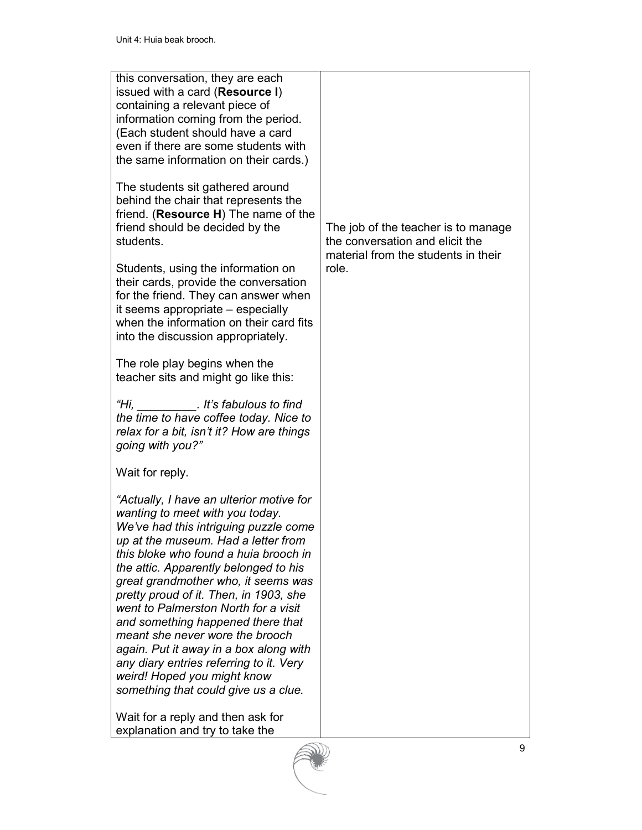| this conversation, they are each<br>issued with a card (Resource I)<br>containing a relevant piece of<br>information coming from the period.<br>(Each student should have a card<br>even if there are some students with<br>the same information on their cards.)                                                                                                                                                                                                                                                                                                                                          |                                                                                                               |
|------------------------------------------------------------------------------------------------------------------------------------------------------------------------------------------------------------------------------------------------------------------------------------------------------------------------------------------------------------------------------------------------------------------------------------------------------------------------------------------------------------------------------------------------------------------------------------------------------------|---------------------------------------------------------------------------------------------------------------|
| The students sit gathered around<br>behind the chair that represents the<br>friend. (Resource H) The name of the<br>friend should be decided by the<br>students.                                                                                                                                                                                                                                                                                                                                                                                                                                           | The job of the teacher is to manage<br>the conversation and elicit the<br>material from the students in their |
| Students, using the information on<br>their cards, provide the conversation<br>for the friend. They can answer when<br>it seems appropriate – especially<br>when the information on their card fits<br>into the discussion appropriately.                                                                                                                                                                                                                                                                                                                                                                  | role.                                                                                                         |
| The role play begins when the<br>teacher sits and might go like this:                                                                                                                                                                                                                                                                                                                                                                                                                                                                                                                                      |                                                                                                               |
| "Hi, It's fabulous to find<br>the time to have coffee today. Nice to<br>relax for a bit, isn't it? How are things<br>going with you?"                                                                                                                                                                                                                                                                                                                                                                                                                                                                      |                                                                                                               |
| Wait for reply.                                                                                                                                                                                                                                                                                                                                                                                                                                                                                                                                                                                            |                                                                                                               |
| "Actually, I have an ulterior motive for<br>wanting to meet with you today.<br>We've had this intriguing puzzle come<br>up at the museum. Had a letter from<br>this bloke who found a huia brooch in<br>the attic. Apparently belonged to his<br>great grandmother who, it seems was<br>pretty proud of it. Then, in 1903, she<br>went to Palmerston North for a visit<br>and something happened there that<br>meant she never wore the brooch<br>again. Put it away in a box along with<br>any diary entries referring to it. Very<br>weird! Hoped you might know<br>something that could give us a clue. |                                                                                                               |
| Wait for a reply and then ask for                                                                                                                                                                                                                                                                                                                                                                                                                                                                                                                                                                          |                                                                                                               |

explanation and try to take the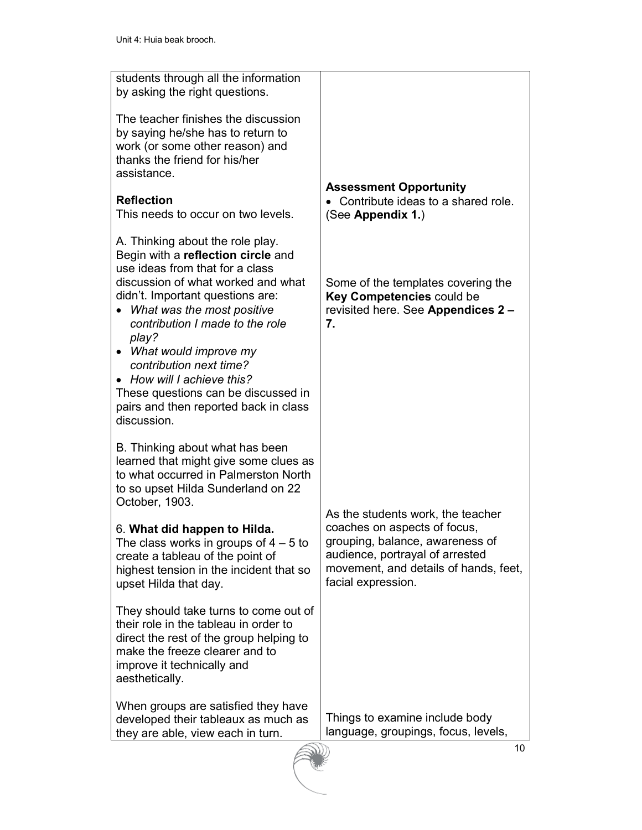| students through all the information<br>by asking the right questions.                                                                                                                                                                                                                                                                                                                                                                           |                                                                                                                                                                   |
|--------------------------------------------------------------------------------------------------------------------------------------------------------------------------------------------------------------------------------------------------------------------------------------------------------------------------------------------------------------------------------------------------------------------------------------------------|-------------------------------------------------------------------------------------------------------------------------------------------------------------------|
| The teacher finishes the discussion<br>by saying he/she has to return to<br>work (or some other reason) and<br>thanks the friend for his/her<br>assistance.                                                                                                                                                                                                                                                                                      |                                                                                                                                                                   |
|                                                                                                                                                                                                                                                                                                                                                                                                                                                  | <b>Assessment Opportunity</b>                                                                                                                                     |
| <b>Reflection</b><br>This needs to occur on two levels.                                                                                                                                                                                                                                                                                                                                                                                          | Contribute ideas to a shared role.<br>(See Appendix 1.)                                                                                                           |
| A. Thinking about the role play.<br>Begin with a reflection circle and<br>use ideas from that for a class<br>discussion of what worked and what<br>didn't. Important questions are:<br>What was the most positive<br>contribution I made to the role<br>play?<br>• What would improve my<br>contribution next time?<br>• How will I achieve this?<br>These questions can be discussed in<br>pairs and then reported back in class<br>discussion. | Some of the templates covering the<br>Key Competencies could be<br>revisited here. See Appendices 2 -<br>7.                                                       |
| B. Thinking about what has been<br>learned that might give some clues as<br>to what occurred in Palmerston North<br>to so upset Hilda Sunderland on 22<br>October, 1903.                                                                                                                                                                                                                                                                         | As the students work, the teacher                                                                                                                                 |
| 6. What did happen to Hilda.<br>The class works in groups of $4 - 5$ to<br>create a tableau of the point of<br>highest tension in the incident that so<br>upset Hilda that day.                                                                                                                                                                                                                                                                  | coaches on aspects of focus,<br>grouping, balance, awareness of<br>audience, portrayal of arrested<br>movement, and details of hands, feet,<br>facial expression. |
| They should take turns to come out of<br>their role in the tableau in order to<br>direct the rest of the group helping to<br>make the freeze clearer and to<br>improve it technically and<br>aesthetically.                                                                                                                                                                                                                                      |                                                                                                                                                                   |
| When groups are satisfied they have                                                                                                                                                                                                                                                                                                                                                                                                              |                                                                                                                                                                   |
| developed their tableaux as much as<br>they are able, view each in turn.                                                                                                                                                                                                                                                                                                                                                                         | Things to examine include body<br>language, groupings, focus, levels,                                                                                             |
|                                                                                                                                                                                                                                                                                                                                                                                                                                                  | 10 <sup>1</sup>                                                                                                                                                   |

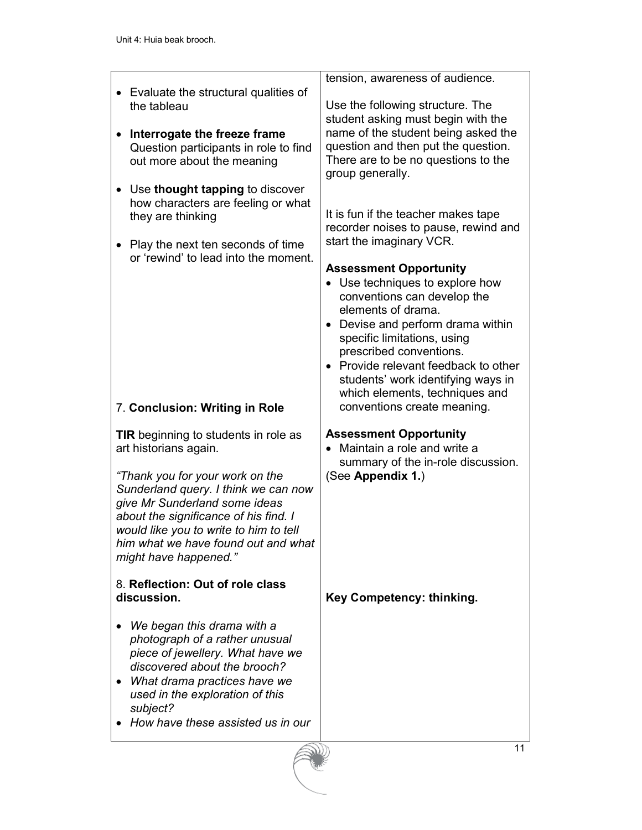|                                                                                                                                                                                                                                                             | tension, awareness of audience.                                                                                                                                                                                                                                                                                                |
|-------------------------------------------------------------------------------------------------------------------------------------------------------------------------------------------------------------------------------------------------------------|--------------------------------------------------------------------------------------------------------------------------------------------------------------------------------------------------------------------------------------------------------------------------------------------------------------------------------|
| Evaluate the structural qualities of<br>the tableau                                                                                                                                                                                                         | Use the following structure. The<br>student asking must begin with the                                                                                                                                                                                                                                                         |
| Interrogate the freeze frame<br>Question participants in role to find<br>out more about the meaning                                                                                                                                                         | name of the student being asked the<br>question and then put the question.<br>There are to be no questions to the<br>group generally.                                                                                                                                                                                          |
| Use thought tapping to discover<br>how characters are feeling or what<br>they are thinking                                                                                                                                                                  | It is fun if the teacher makes tape<br>recorder noises to pause, rewind and                                                                                                                                                                                                                                                    |
| Play the next ten seconds of time<br>$\bullet$<br>or 'rewind' to lead into the moment.                                                                                                                                                                      | start the imaginary VCR.                                                                                                                                                                                                                                                                                                       |
|                                                                                                                                                                                                                                                             | <b>Assessment Opportunity</b><br>Use techniques to explore how<br>conventions can develop the<br>elements of drama.<br>Devise and perform drama within<br>specific limitations, using<br>prescribed conventions.<br>Provide relevant feedback to other<br>students' work identifying ways in<br>which elements, techniques and |
| 7. Conclusion: Writing in Role                                                                                                                                                                                                                              | conventions create meaning.                                                                                                                                                                                                                                                                                                    |
| TIR beginning to students in role as<br>art historians again.                                                                                                                                                                                               | <b>Assessment Opportunity</b><br>Maintain a role and write a                                                                                                                                                                                                                                                                   |
| "Thank you for your work on the<br>Sunderland query. I think we can now<br>give Mr Sunderland some ideas<br>about the significance of his find. I<br>would like you to write to him to tell<br>him what we have found out and what<br>might have happened." | summary of the in-role discussion.<br>(See Appendix 1.)                                                                                                                                                                                                                                                                        |
| 8. Reflection: Out of role class<br>discussion.                                                                                                                                                                                                             | Key Competency: thinking.                                                                                                                                                                                                                                                                                                      |
| We began this drama with a<br>photograph of a rather unusual<br>piece of jewellery. What have we<br>discovered about the brooch?<br>What drama practices have we<br>used in the exploration of this<br>subject?<br>How have these assisted us in our        |                                                                                                                                                                                                                                                                                                                                |
|                                                                                                                                                                                                                                                             | 11                                                                                                                                                                                                                                                                                                                             |
|                                                                                                                                                                                                                                                             |                                                                                                                                                                                                                                                                                                                                |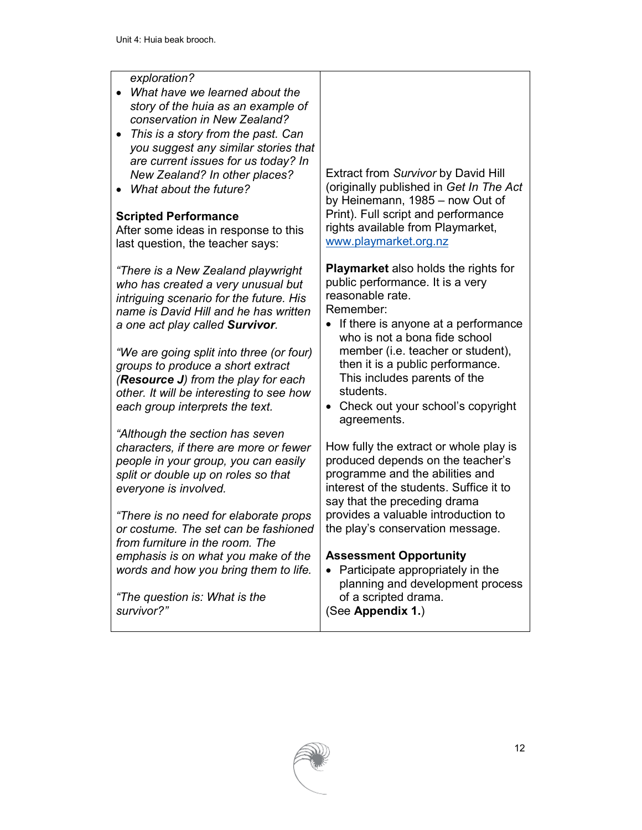#### *exploration?*

- *What have we learned about the story of the huia as an example of conservation in New Zealand?*
- *This is a story from the past. Can you suggest any similar stories that are current issues for us today? In New Zealand? In other places?*
- *What about the future?*

#### **Scripted Performance**

After some ideas in response to this last question, the teacher says:

*"There is a New Zealand playwright who has created a very unusual but intriguing scenario for the future. His name is David Hill and he has written a one act play called Survivor.* 

*"We are going split into three (or four) groups to produce a short extract (Resource J) from the play for each other. It will be interesting to see how each group interprets the text.* 

*"Although the section has seven characters, if there are more or fewer people in your group, you can easily split or double up on roles so that everyone is involved.* 

*"There is no need for elaborate props or costume. The set can be fashioned from furniture in the room. The emphasis is on what you make of the words and how you bring them to life.* 

*"The question is: What is the survivor?"* 

Extract from *Survivor* by David Hill (originally published in *Get In The Act* by Heinemann, 1985 – now Out of Print). Full script and performance rights available from Playmarket, www.playmarket.org.nz

**Playmarket** also holds the rights for public performance. It is a very reasonable rate. Remember:

- If there is anyone at a performance who is not a bona fide school member (i.e. teacher or student), then it is a public performance. This includes parents of the students.
- Check out your school's copyright agreements.

How fully the extract or whole play is produced depends on the teacher's programme and the abilities and interest of the students. Suffice it to say that the preceding drama provides a valuable introduction to the play's conservation message.

#### **Assessment Opportunity**

• Participate appropriately in the planning and development process of a scripted drama. (See **Appendix 1.**)

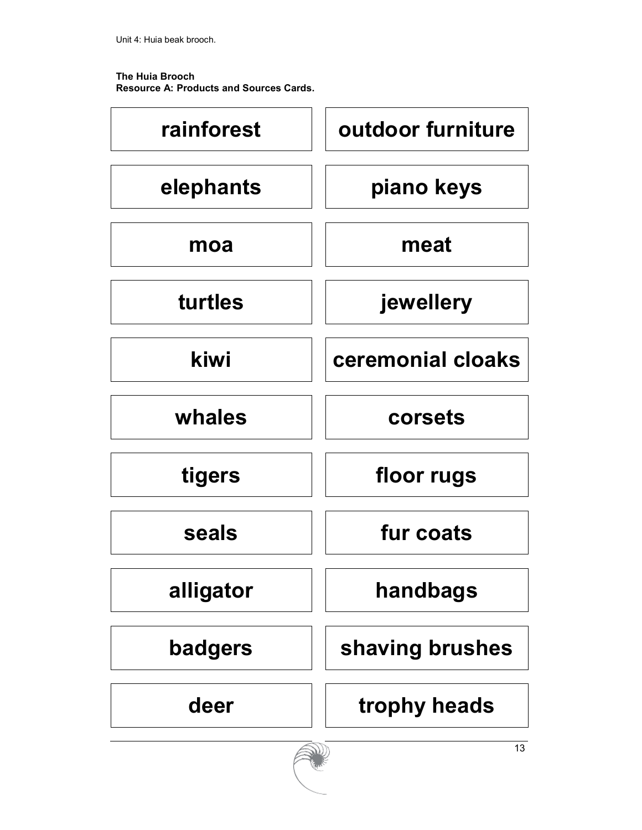**The Huia Brooch Resource A: Products and Sources Cards.** 



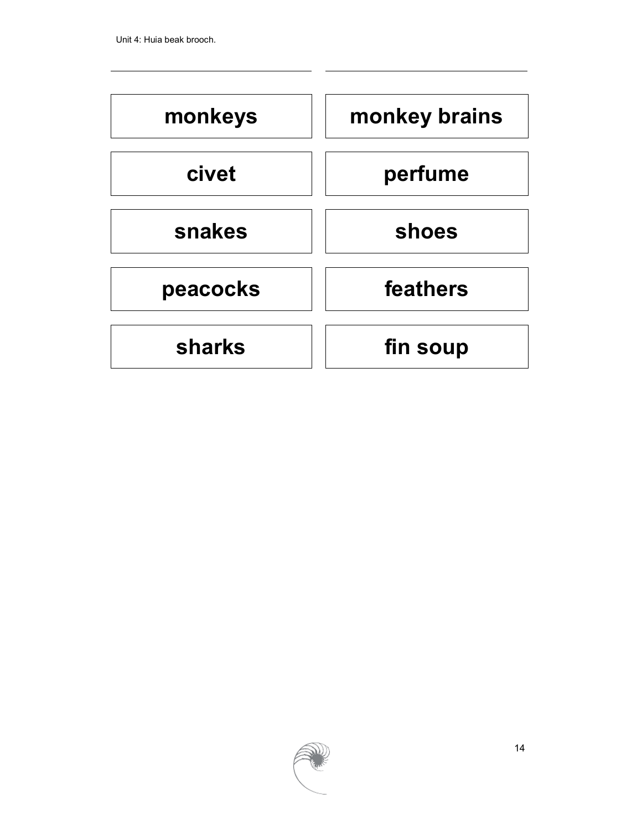

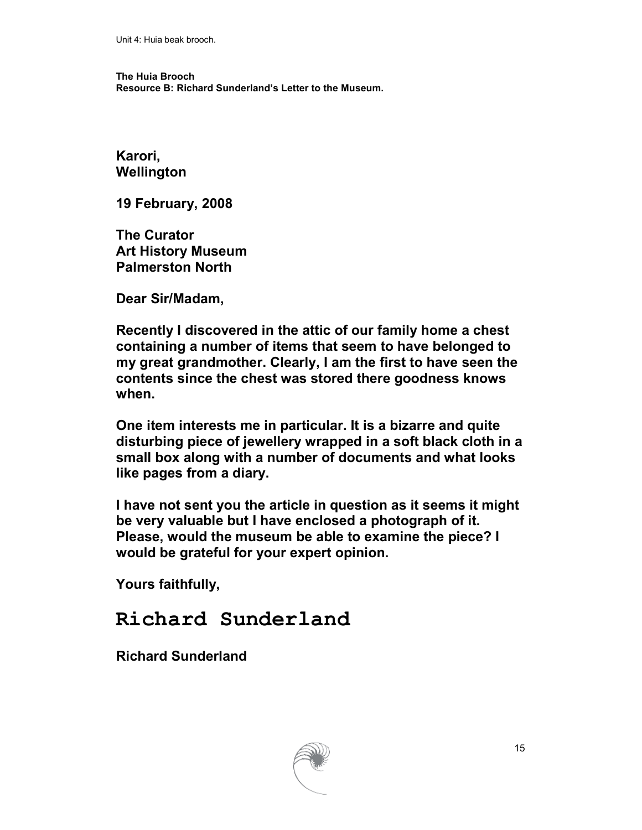**The Huia Brooch Resource B: Richard Sunderland's Letter to the Museum.** 

**Karori, Wellington** 

**19 February, 2008** 

**The Curator Art History Museum Palmerston North** 

**Dear Sir/Madam,** 

**Recently I discovered in the attic of our family home a chest containing a number of items that seem to have belonged to my great grandmother. Clearly, I am the first to have seen the contents since the chest was stored there goodness knows when.** 

**One item interests me in particular. It is a bizarre and quite disturbing piece of jewellery wrapped in a soft black cloth in a small box along with a number of documents and what looks like pages from a diary.** 

**I have not sent you the article in question as it seems it might be very valuable but I have enclosed a photograph of it. Please, would the museum be able to examine the piece? I would be grateful for your expert opinion.** 

**Yours faithfully,** 

# **Richard Sunderland**

**Richard Sunderland** 

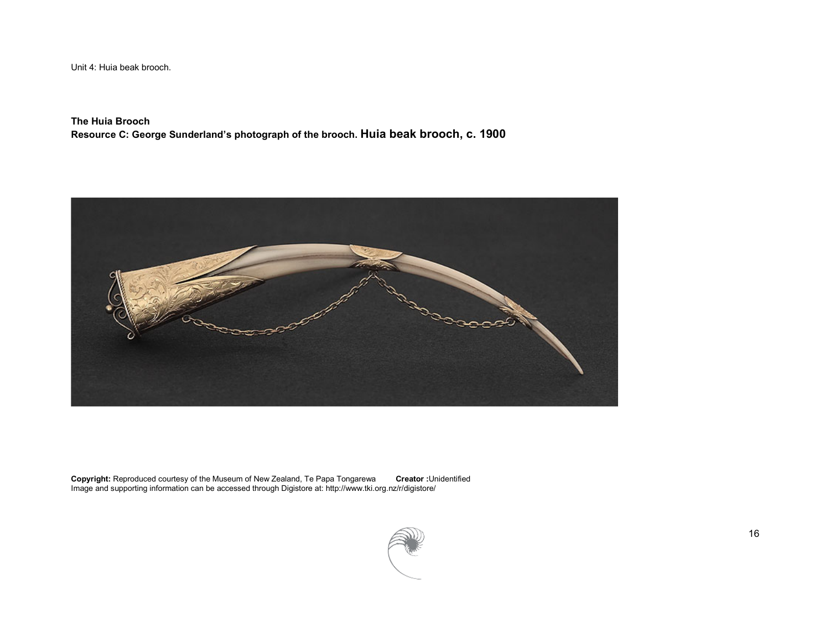**The Huia Brooch Resource C: George Sunderland's photograph of the brooch. Huia beak brooch, c. 1900** 



**Copyright:** Reproduced courtesy of the Museum of New Zealand, Te Papa Tongarewa **Creator :**Unidentified Image and supporting information can be accessed through Digistore at: http://www.tki.org.nz/r/digistore/

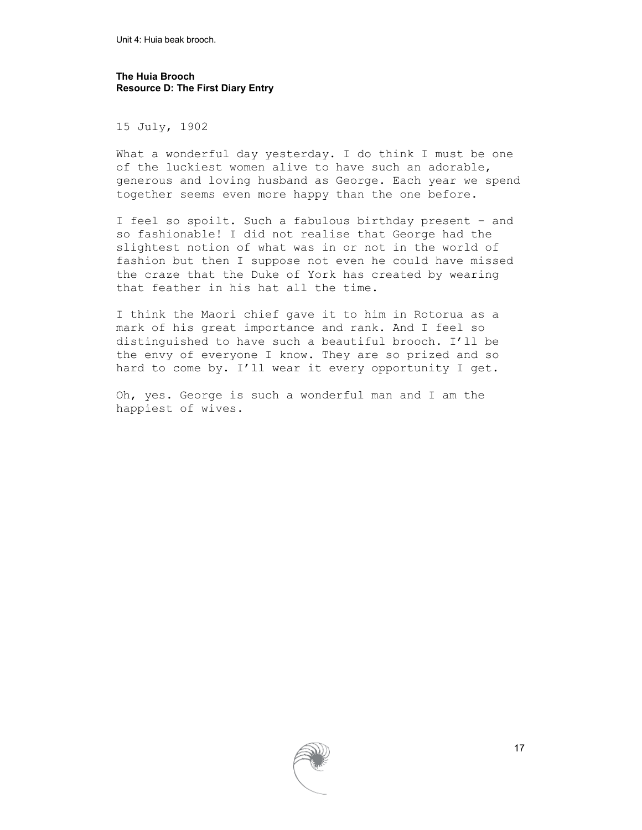**The Huia Brooch Resource D: The First Diary Entry** 

15 July, 1902

What a wonderful day yesterday. I do think I must be one of the luckiest women alive to have such an adorable, generous and loving husband as George. Each year we spend together seems even more happy than the one before.

I feel so spoilt. Such a fabulous birthday present – and so fashionable! I did not realise that George had the slightest notion of what was in or not in the world of fashion but then I suppose not even he could have missed the craze that the Duke of York has created by wearing that feather in his hat all the time.

I think the Maori chief gave it to him in Rotorua as a mark of his great importance and rank. And I feel so distinguished to have such a beautiful brooch. I'll be the envy of everyone I know. They are so prized and so hard to come by. I'll wear it every opportunity I get.

Oh, yes. George is such a wonderful man and I am the happiest of wives.

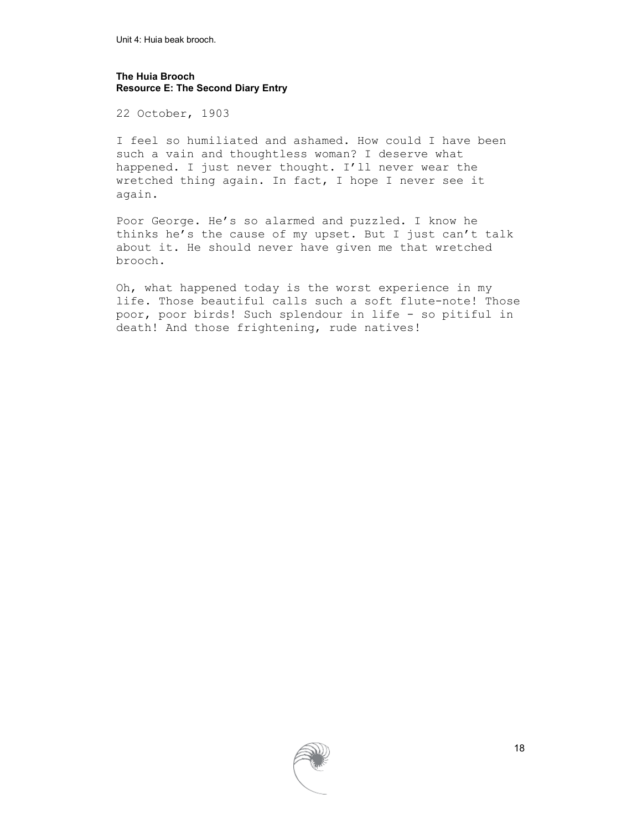#### **The Huia Brooch Resource E: The Second Diary Entry**

22 October, 1903

I feel so humiliated and ashamed. How could I have been such a vain and thoughtless woman? I deserve what happened. I just never thought. I'll never wear the wretched thing again. In fact, I hope I never see it again.

Poor George. He's so alarmed and puzzled. I know he thinks he's the cause of my upset. But I just can't talk about it. He should never have given me that wretched brooch.

Oh, what happened today is the worst experience in my life. Those beautiful calls such a soft flute-note! Those poor, poor birds! Such splendour in life - so pitiful in death! And those frightening, rude natives!

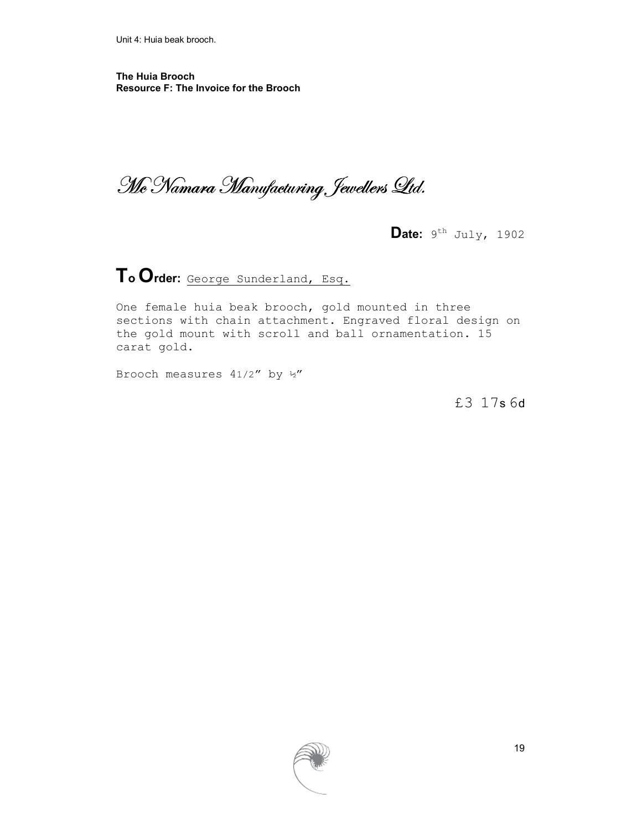**The Huia Brooch Resource F: The Invoice for the Brooch** 

Mc Namara Manufacturing Jewellers Ltd.

Date: 9<sup>th</sup> July, 1902

**To Order:** George Sunderland, Esq.

One female huia beak brooch, gold mounted in three sections with chain attachment. Engraved floral design on the gold mount with scroll and ball ornamentation. 15 carat gold.

Brooch measures 41/2" by ½"

£3 17s 6d

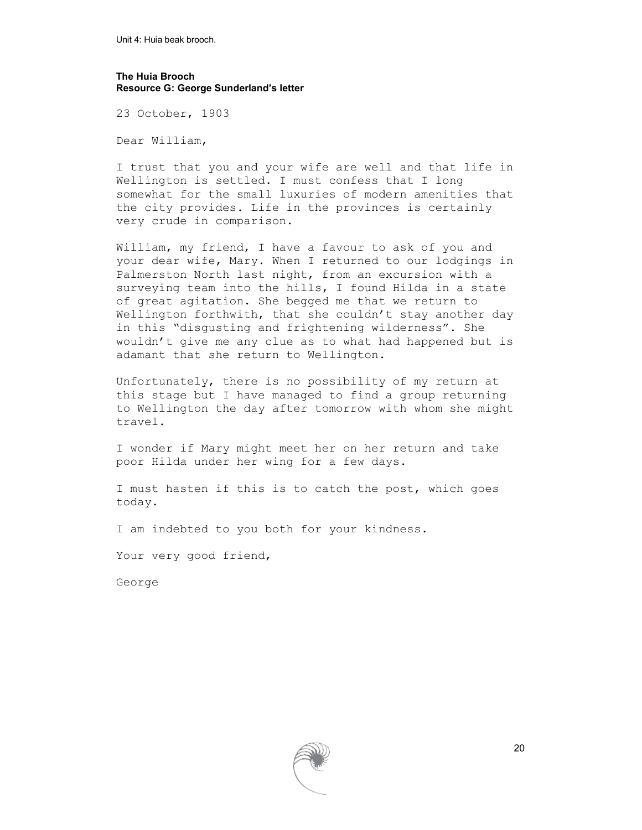#### **The Huia Brooch Resource G: George Sunderland's letter**

23 October, 1903

Dear William,

I trust that you and your wife are well and that life in Wellington is settled. I must confess that I long somewhat for the small luxuries of modern amenities that the city provides. Life in the provinces is certainly very crude in comparison.

William, my friend, I have a favour to ask of you and your dear wife, Mary. When I returned to our lodgings in Palmerston North last night, from an excursion with a surveying team into the hills, I found Hilda in a state of great agitation. She begged me that we return to Wellington forthwith, that she couldn't stay another day in this "disgusting and frightening wilderness". She wouldn't give me any clue as to what had happened but is adamant that she return to Wellington.

Unfortunately, there is no possibility of my return at this stage but I have managed to find a group returning to Wellington the day after tomorrow with whom she might travel.

I wonder if Mary might meet her on her return and take poor Hilda under her wing for a few days.

I must hasten if this is to catch the post, which goes today.

I am indebted to you both for your kindness.

Your very good friend,

George

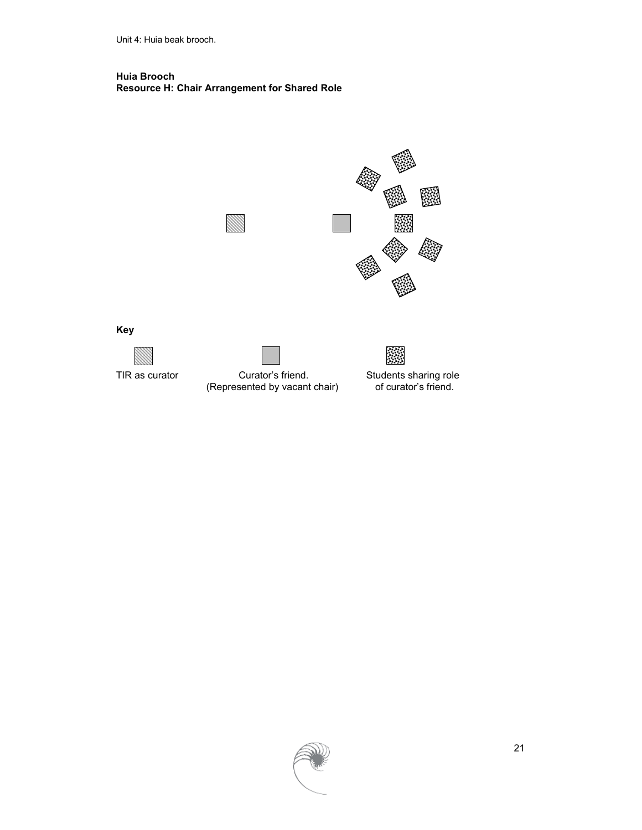#### **Huia Brooch Resource H: Chair Arrangement for Shared Role**



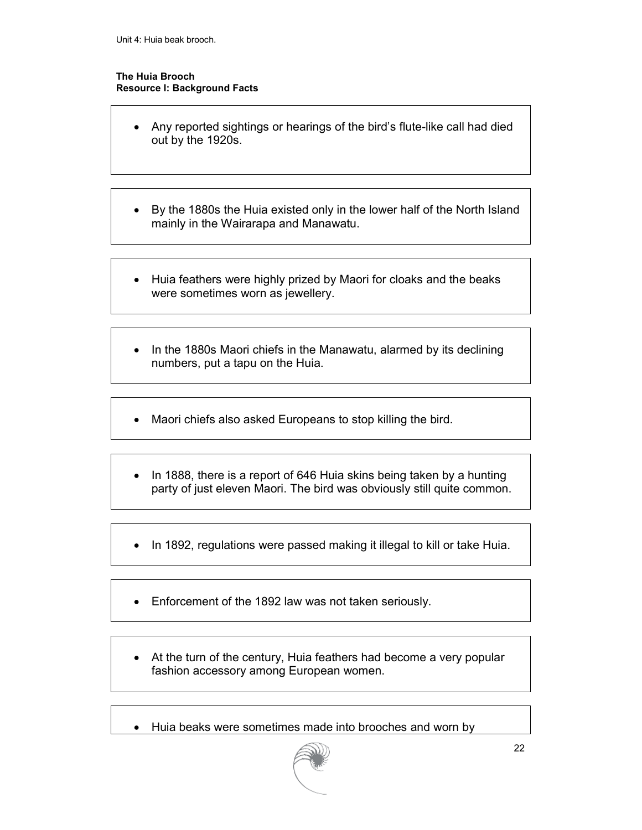#### **The Huia Brooch Resource I: Background Facts**

- Any reported sightings or hearings of the bird's flute-like call had died out by the 1920s.
- By the 1880s the Huia existed only in the lower half of the North Island mainly in the Wairarapa and Manawatu.
- Huia feathers were highly prized by Maori for cloaks and the beaks were sometimes worn as jewellery.
- In the 1880s Maori chiefs in the Manawatu, alarmed by its declining numbers, put a tapu on the Huia.
- Maori chiefs also asked Europeans to stop killing the bird.
- In 1888, there is a report of 646 Huia skins being taken by a hunting party of just eleven Maori. The bird was obviously still quite common.
- In 1892, regulations were passed making it illegal to kill or take Huia.
- Enforcement of the 1892 law was not taken seriously.
- At the turn of the century, Huia feathers had become a very popular fashion accessory among European women.
- Huia beaks were sometimes made into brooches and worn by

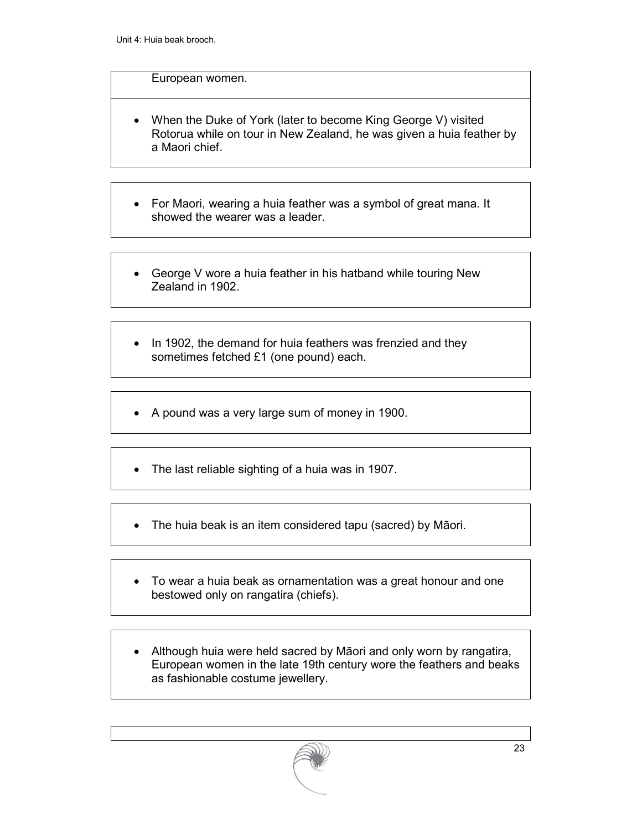#### European women.

- When the Duke of York (later to become King George V) visited Rotorua while on tour in New Zealand, he was given a huia feather by a Maori chief.
- For Maori, wearing a huia feather was a symbol of great mana. It showed the wearer was a leader.
- George V wore a huia feather in his hatband while touring New Zealand in 1902.
- In 1902, the demand for huia feathers was frenzied and they sometimes fetched £1 (one pound) each.
- A pound was a very large sum of money in 1900.
- The last reliable sighting of a huia was in 1907.
- The huia beak is an item considered tapu (sacred) by Māori.
- To wear a huia beak as ornamentation was a great honour and one bestowed only on rangatira (chiefs).
- Although huia were held sacred by Māori and only worn by rangatira, European women in the late 19th century wore the feathers and beaks as fashionable costume jewellery.

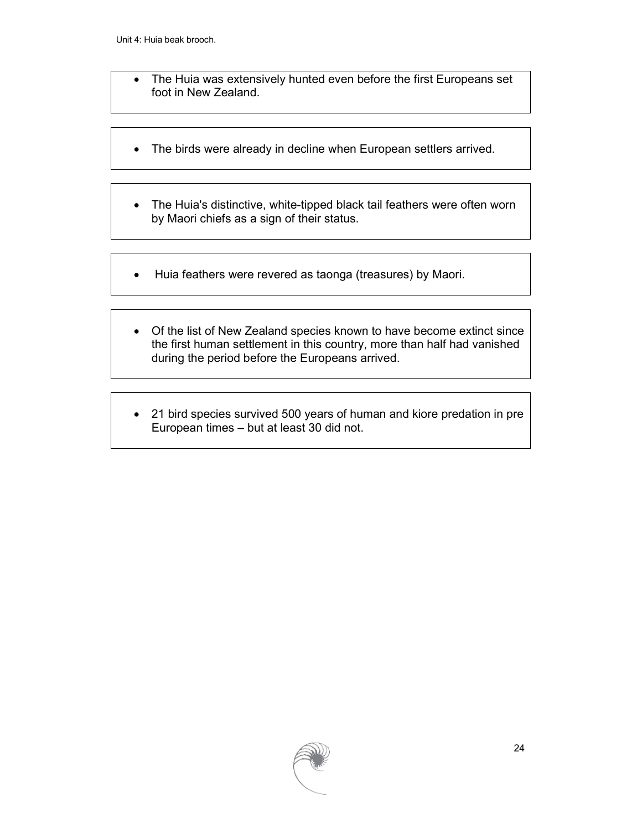- The Huia was extensively hunted even before the first Europeans set foot in New Zealand.
- The birds were already in decline when European settlers arrived.
- The Huia's distinctive, white-tipped black tail feathers were often worn by Maori chiefs as a sign of their status.
- Huia feathers were revered as taonga (treasures) by Maori.
- Of the list of New Zealand species known to have become extinct since the first human settlement in this country, more than half had vanished during the period before the Europeans arrived.
- 21 bird species survived 500 years of human and kiore predation in pre European times – but at least 30 did not.

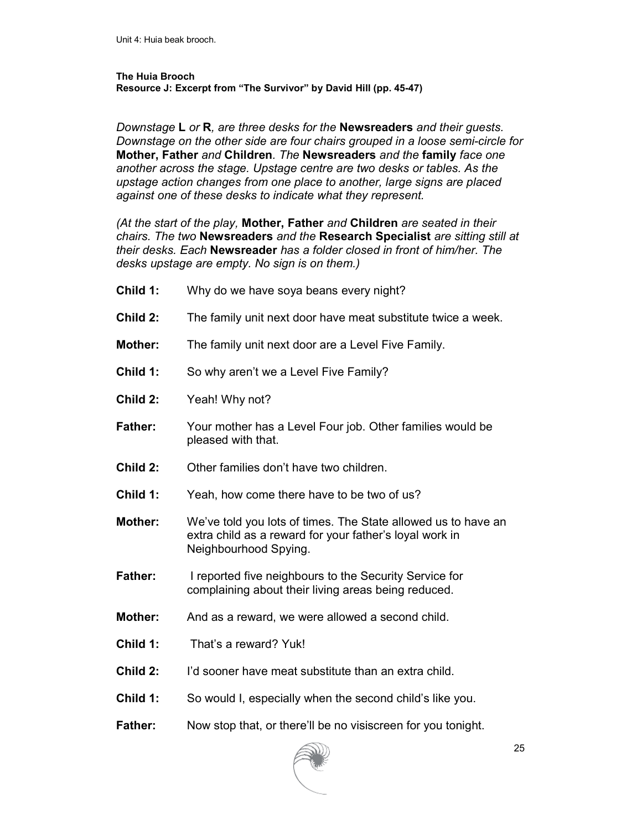#### **The Huia Brooch Resource J: Excerpt from "The Survivor" by David Hill (pp. 45-47)**

*Downstage* **L** *or* **R***, are three desks for the* **Newsreaders** *and their guests. Downstage on the other side are four chairs grouped in a loose semi-circle for*  **Mother, Father** *and* **Children***. The* **Newsreaders** *and the* **family** *face one another across the stage. Upstage centre are two desks or tables. As the upstage action changes from one place to another, large signs are placed against one of these desks to indicate what they represent.* 

*(At the start of the play,* **Mother, Father** *and* **Children** *are seated in their chairs. The two* **Newsreaders** *and the* **Research Specialist** *are sitting still at their desks. Each* **Newsreader** *has a folder closed in front of him/her. The desks upstage are empty. No sign is on them.)* 

- **Child 1:** Why do we have soya beans every night?
- **Child 2:** The family unit next door have meat substitute twice a week.
- **Mother:** The family unit next door are a Level Five Family.
- **Child 1:** So why aren't we a Level Five Family?
- **Child 2:** Yeah! Why not?
- **Father:** Your mother has a Level Four job. Other families would be pleased with that.
- **Child 2:** Other families don't have two children.
- **Child 1:** Yeah, how come there have to be two of us?
- **Mother:** We've told you lots of times. The State allowed us to have an extra child as a reward for your father's loyal work in Neighbourhood Spying.
- **Father:** I reported five neighbours to the Security Service for complaining about their living areas being reduced.
- **Mother:** And as a reward, we were allowed a second child.
- **Child 1:** That's a reward? Yuk!
- **Child 2:** I'd sooner have meat substitute than an extra child.
- **Child 1:** So would I, especially when the second child's like you.
- **Father:** Now stop that, or there'll be no visiscreen for you tonight.

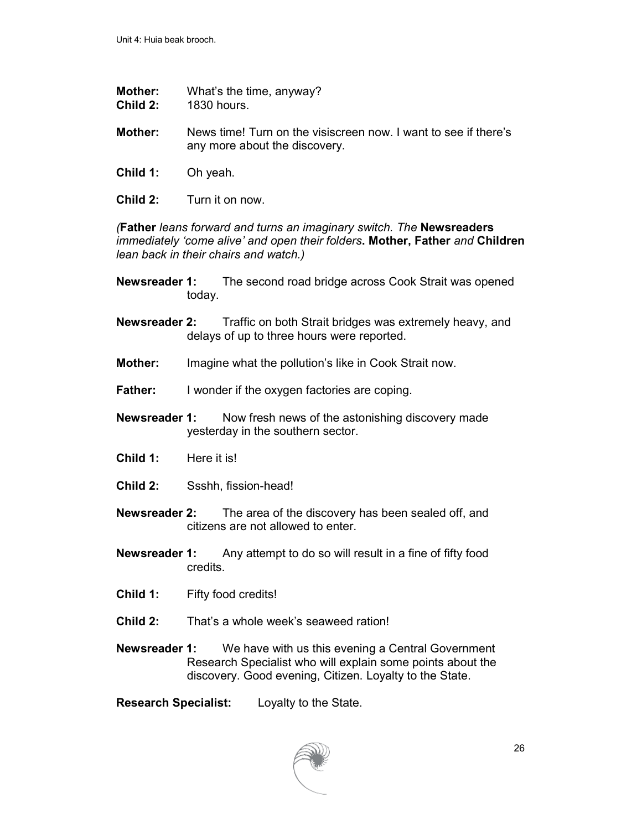- **Mother:** What's the time, anyway?<br>**Child 2:** 1830 hours.
- **Child 2:** 1830 hours.
- **Mother:** News time! Turn on the visiscreen now. I want to see if there's any more about the discovery.
- **Child 1:** Oh yeah.
- **Child 2:** Turn it on now.

*(***Father** *leans forward and turns an imaginary switch. The* **Newsreaders**  *immediately 'come alive' and open their folders***. Mother, Father** *and* **Children** *lean back in their chairs and watch.)* 

- **Newsreader 1:** The second road bridge across Cook Strait was opened today.
- **Newsreader 2:** Traffic on both Strait bridges was extremely heavy, and delays of up to three hours were reported.
- **Mother:** Imagine what the pollution's like in Cook Strait now.
- **Father:** I wonder if the oxygen factories are coping.
- **Newsreader 1:** Now fresh news of the astonishing discovery made yesterday in the southern sector.
- **Child 1:** Here it is!
- **Child 2:** Ssshh, fission-head!
- **Newsreader 2:** The area of the discovery has been sealed off, and citizens are not allowed to enter.
- **Newsreader 1:** Any attempt to do so will result in a fine of fifty food credits.
- **Child 1:** Fifty food credits!
- **Child 2:** That's a whole week's seaweed ration!
- **Newsreader 1:** We have with us this evening a Central Government Research Specialist who will explain some points about the discovery. Good evening, Citizen. Loyalty to the State.
- **Research Specialist:** Loyalty to the State.

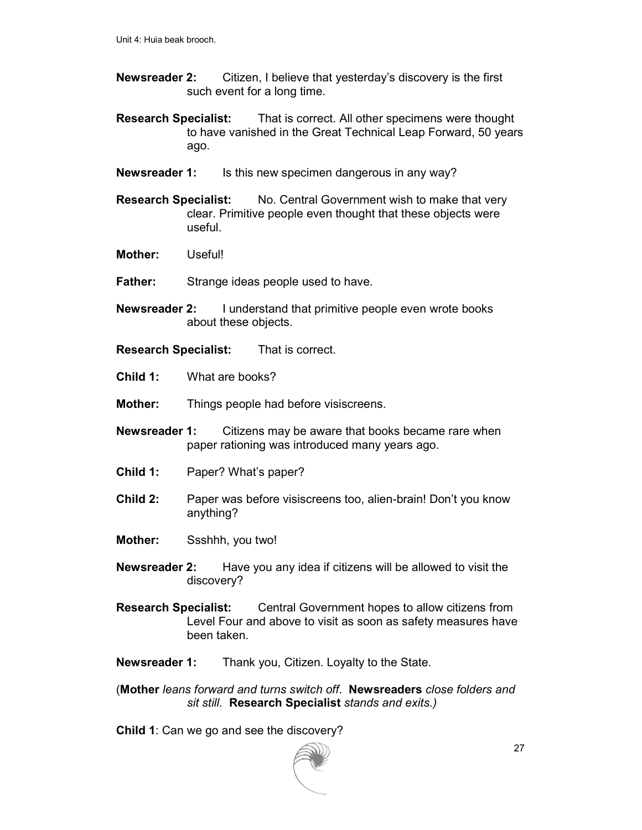- **Newsreader 2:** Citizen, I believe that yesterday's discovery is the first such event for a long time.
- **Research Specialist:** That is correct. All other specimens were thought to have vanished in the Great Technical Leap Forward, 50 years ago.
- **Newsreader 1:** Is this new specimen dangerous in any way?
- **Research Specialist:** No. Central Government wish to make that very clear. Primitive people even thought that these objects were useful.
- **Mother:** Useful!
- **Father:** Strange ideas people used to have.
- **Newsreader 2:** I understand that primitive people even wrote books about these objects.
- **Research Specialist:** That is correct.
- **Child 1:** What are books?
- **Mother:** Things people had before visiscreens.
- **Newsreader 1:** Citizens may be aware that books became rare when paper rationing was introduced many years ago.
- **Child 1:** Paper? What's paper?
- **Child 2:** Paper was before visiscreens too, alien-brain! Don't you know anything?
- **Mother:** Ssshhh, you two!
- **Newsreader 2:** Have you any idea if citizens will be allowed to visit the discovery?
- **Research Specialist:** Central Government hopes to allow citizens from Level Four and above to visit as soon as safety measures have been taken.
- **Newsreader 1:** Thank you, Citizen. Loyalty to the State.
- (**Mother** *leans forward and turns switch off*. **Newsreaders** *close folders and sit still.* **Research Specialist** *stands and exits.)*

**Child 1**: Can we go and see the discovery?

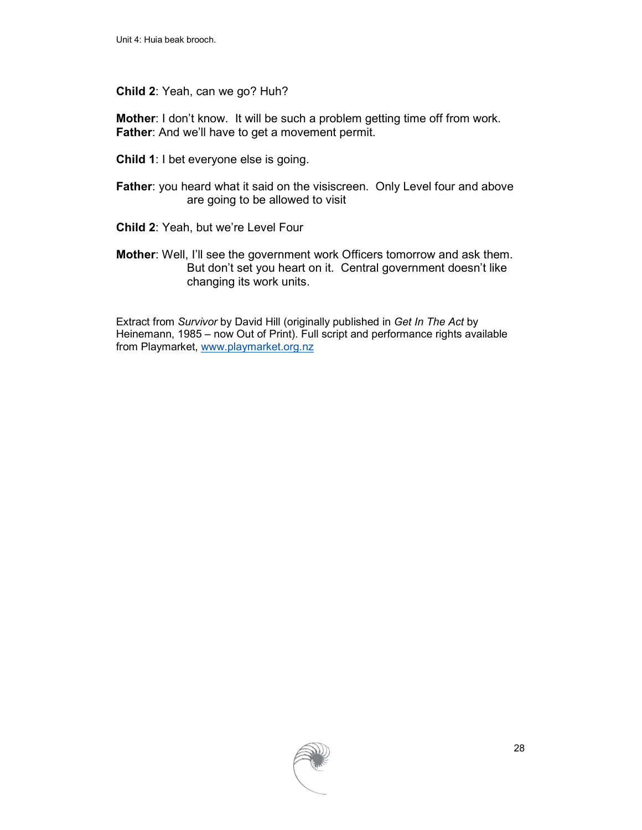#### **Child 2**: Yeah, can we go? Huh?

**Mother**: I don't know. It will be such a problem getting time off from work. **Father:** And we'll have to get a movement permit.

- **Child 1**: I bet everyone else is going.
- **Father:** you heard what it said on the visiscreen. Only Level four and above are going to be allowed to visit
- **Child 2**: Yeah, but we're Level Four
- **Mother**: Well, I'll see the government work Officers tomorrow and ask them. But don't set you heart on it. Central government doesn't like changing its work units.

Extract from *Survivor* by David Hill (originally published in *Get In The Act* by Heinemann, 1985 – now Out of Print). Full script and performance rights available from Playmarket, www.playmarket.org.nz

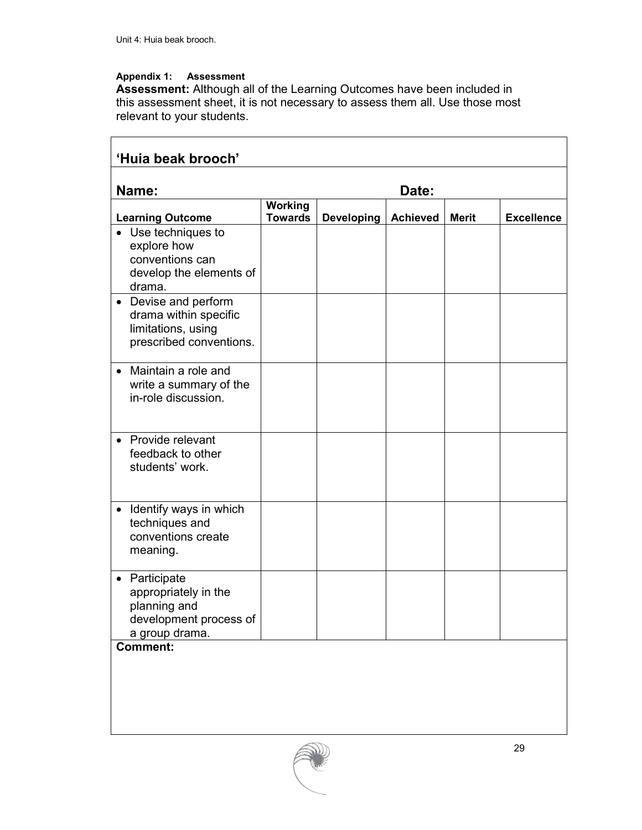#### **Appendix 1: Assessment**

**Assessment:** Although all of the Learning Outcomes have been included in this assessment sheet, it is not necessary to assess them all. Use those most relevant to your students.

| 'Huia beak brooch'                                                                                           |                                  |                   |                 |              |                   |
|--------------------------------------------------------------------------------------------------------------|----------------------------------|-------------------|-----------------|--------------|-------------------|
| Name:<br>Date:                                                                                               |                                  |                   |                 |              |                   |
| <b>Learning Outcome</b>                                                                                      | <b>Working</b><br><b>Towards</b> | <b>Developing</b> | <b>Achieved</b> | <b>Merit</b> | <b>Excellence</b> |
| Use techniques to<br>explore how<br>conventions can<br>develop the elements of<br>drama.                     |                                  |                   |                 |              |                   |
| Devise and perform<br>$\bullet$<br>drama within specific<br>limitations, using<br>prescribed conventions.    |                                  |                   |                 |              |                   |
| Maintain a role and<br>$\bullet$<br>write a summary of the<br>in-role discussion.                            |                                  |                   |                 |              |                   |
| Provide relevant<br>$\bullet$<br>feedback to other<br>students' work.                                        |                                  |                   |                 |              |                   |
| Identify ways in which<br>$\bullet$<br>techniques and<br>conventions create<br>meaning.                      |                                  |                   |                 |              |                   |
| Participate<br>$\bullet$<br>appropriately in the<br>planning and<br>development process of<br>a group drama. |                                  |                   |                 |              |                   |
| <b>Comment:</b>                                                                                              |                                  |                   |                 |              |                   |

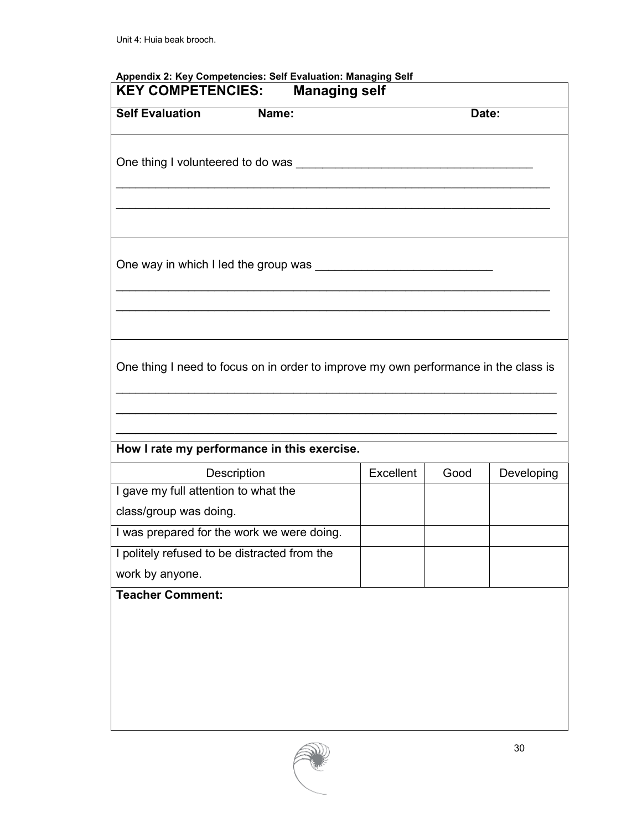| <b>KEY COMPETENCIES:</b>                                                                   | <b>Managing self</b> |      |            |
|--------------------------------------------------------------------------------------------|----------------------|------|------------|
| <b>Self Evaluation</b><br>Name:                                                            |                      |      | Date:      |
|                                                                                            |                      |      |            |
|                                                                                            |                      |      |            |
|                                                                                            |                      |      |            |
|                                                                                            |                      |      |            |
| One thing I need to focus on in order to improve my own performance in the class is        |                      |      |            |
|                                                                                            |                      |      |            |
| How I rate my performance in this exercise.                                                |                      |      |            |
| Description                                                                                | Excellent            | Good | Developing |
| I gave my full attention to what the<br>class/group was doing.                             |                      |      |            |
|                                                                                            |                      |      |            |
| I was prepared for the work we were doing.<br>I politely refused to be distracted from the |                      |      |            |
| work by anyone.                                                                            |                      |      |            |

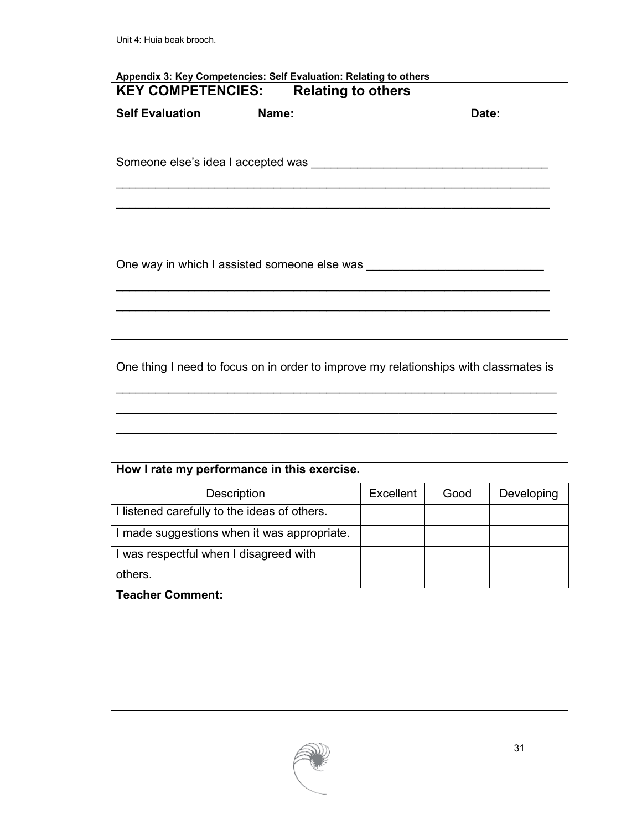| <b>Self Evaluation</b><br>Name:<br>Date:<br>One thing I need to focus on in order to improve my relationships with classmates is |            |
|----------------------------------------------------------------------------------------------------------------------------------|------------|
|                                                                                                                                  |            |
|                                                                                                                                  |            |
|                                                                                                                                  |            |
|                                                                                                                                  |            |
|                                                                                                                                  |            |
|                                                                                                                                  |            |
| How I rate my performance in this exercise.                                                                                      |            |
| <b>Excellent</b><br>Description<br>Good                                                                                          | Developing |
| I listened carefully to the ideas of others.                                                                                     |            |
| I made suggestions when it was appropriate.                                                                                      |            |
| I was respectful when I disagreed with                                                                                           |            |
| others.                                                                                                                          |            |
|                                                                                                                                  |            |

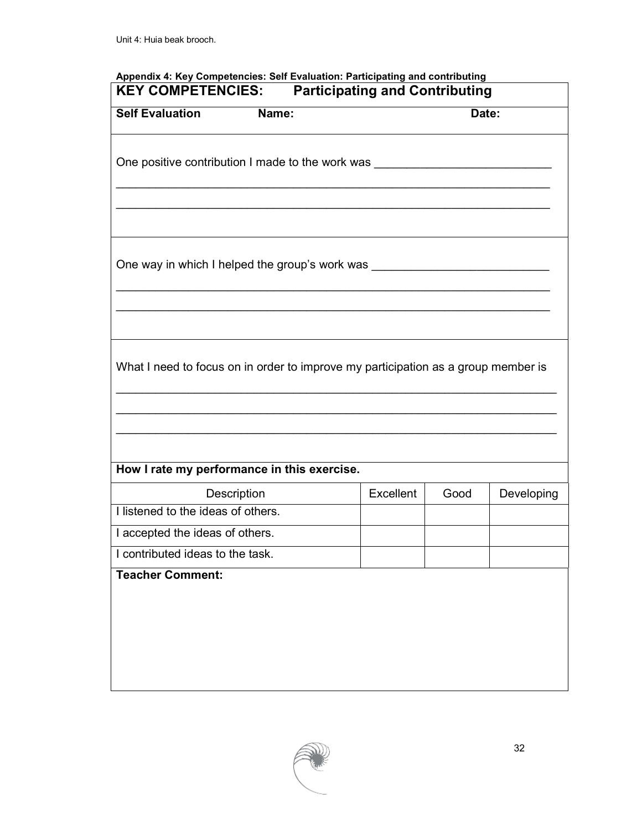| <b>KEY COMPETENCIES:</b>                                                          |             | <b>Participating and Contributing</b> |       |            |
|-----------------------------------------------------------------------------------|-------------|---------------------------------------|-------|------------|
| <b>Self Evaluation Mame:</b>                                                      |             |                                       | Date: |            |
| One positive contribution I made to the work was                                  |             |                                       |       |            |
|                                                                                   |             |                                       |       |            |
| One way in which I helped the group's work was _________________________________  |             |                                       |       |            |
|                                                                                   |             |                                       |       |            |
|                                                                                   |             |                                       |       |            |
| What I need to focus on in order to improve my participation as a group member is |             |                                       |       |            |
| How I rate my performance in this exercise.                                       |             |                                       |       |            |
|                                                                                   | Description | Excellent                             | Good  | Developing |
| I listened to the ideas of others.                                                |             |                                       |       |            |
| I accepted the ideas of others.                                                   |             |                                       |       |            |
| I contributed ideas to the task.                                                  |             |                                       |       |            |
| <b>Teacher Comment:</b>                                                           |             |                                       |       |            |
|                                                                                   |             |                                       |       |            |
|                                                                                   |             |                                       |       |            |

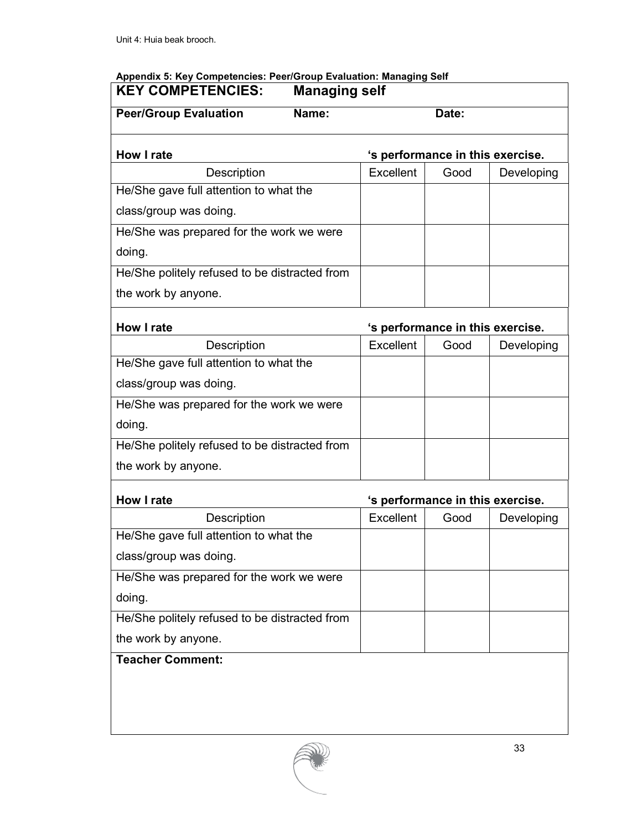### **Appendix 5: Key Competencies: Peer/Group Evaluation: Managing Self**

| <b>KEY COMPETENCIES:</b>                      | <b>Managing self</b> |                                  |       |            |
|-----------------------------------------------|----------------------|----------------------------------|-------|------------|
| <b>Peer/Group Evaluation</b>                  | Name:                |                                  | Date: |            |
| How I rate                                    |                      | 's performance in this exercise. |       |            |
| Description                                   |                      | <b>Excellent</b>                 | Good  | Developing |
| He/She gave full attention to what the        |                      |                                  |       |            |
| class/group was doing.                        |                      |                                  |       |            |
| He/She was prepared for the work we were      |                      |                                  |       |            |
| doing.                                        |                      |                                  |       |            |
| He/She politely refused to be distracted from |                      |                                  |       |            |
| the work by anyone.                           |                      |                                  |       |            |
| <b>How I rate</b>                             |                      | 's performance in this exercise. |       |            |
| Description                                   |                      | Excellent                        | Good  | Developing |
| He/She gave full attention to what the        |                      |                                  |       |            |
| class/group was doing.                        |                      |                                  |       |            |
| He/She was prepared for the work we were      |                      |                                  |       |            |
| doing.                                        |                      |                                  |       |            |
| He/She politely refused to be distracted from |                      |                                  |       |            |
| the work by anyone.                           |                      |                                  |       |            |
| <b>How I rate</b>                             |                      | 's performance in this exercise. |       |            |
| Description                                   |                      | <b>Excellent</b>                 | Good  | Developing |
| He/She gave full attention to what the        |                      |                                  |       |            |
| class/group was doing.                        |                      |                                  |       |            |
| He/She was prepared for the work we were      |                      |                                  |       |            |
| doing.                                        |                      |                                  |       |            |
| He/She politely refused to be distracted from |                      |                                  |       |            |
| the work by anyone.                           |                      |                                  |       |            |
| <b>Teacher Comment:</b>                       |                      |                                  |       |            |
|                                               |                      |                                  |       |            |
|                                               |                      |                                  |       |            |
|                                               |                      |                                  |       |            |
|                                               |                      |                                  |       |            |

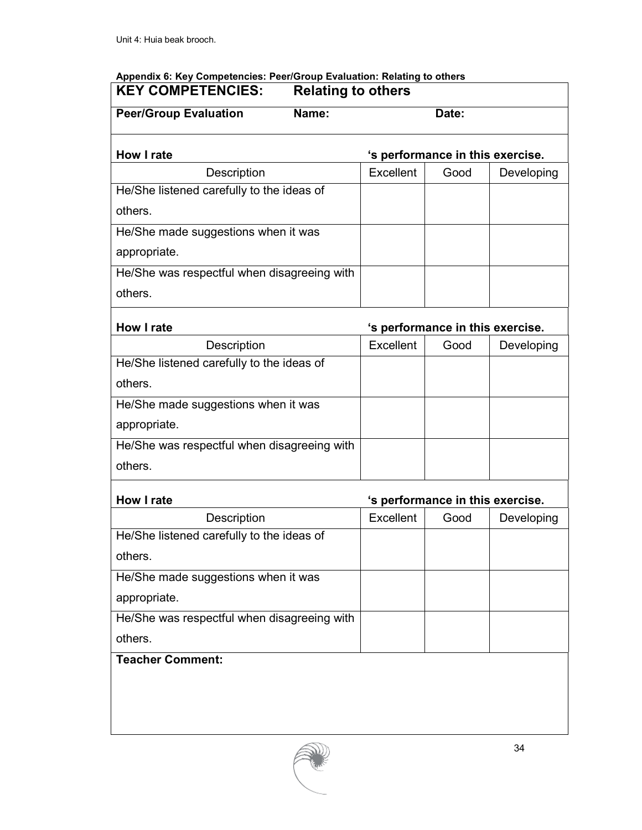# **Appendix 6: Key Competencies: Peer/Group Evaluation: Relating to others**

| <b>KEY COMPETENCIES:</b><br><b>Relating to others</b> |       |           |       |                                  |
|-------------------------------------------------------|-------|-----------|-------|----------------------------------|
| <b>Peer/Group Evaluation</b>                          | Name: |           | Date: |                                  |
| <b>How I rate</b>                                     |       |           |       | 's performance in this exercise. |
| Description                                           |       | Excellent | Good  | Developing                       |
| He/She listened carefully to the ideas of             |       |           |       |                                  |
| others.                                               |       |           |       |                                  |
| He/She made suggestions when it was                   |       |           |       |                                  |
| appropriate.                                          |       |           |       |                                  |
| He/She was respectful when disagreeing with           |       |           |       |                                  |
| others.                                               |       |           |       |                                  |
| <b>How I rate</b>                                     |       |           |       | 's performance in this exercise. |
| Description                                           |       | Excellent | Good  | Developing                       |
| He/She listened carefully to the ideas of             |       |           |       |                                  |
| others.                                               |       |           |       |                                  |
| He/She made suggestions when it was                   |       |           |       |                                  |
| appropriate.                                          |       |           |       |                                  |
| He/She was respectful when disagreeing with           |       |           |       |                                  |
| others.                                               |       |           |       |                                  |
| How I rate                                            |       |           |       | 's performance in this exercise. |
| Description                                           |       | Excellent | Good  | Developing                       |
| He/She listened carefully to the ideas of             |       |           |       |                                  |
| others.                                               |       |           |       |                                  |
| He/She made suggestions when it was                   |       |           |       |                                  |
| appropriate.                                          |       |           |       |                                  |
| He/She was respectful when disagreeing with           |       |           |       |                                  |
| others.                                               |       |           |       |                                  |
| <b>Teacher Comment:</b>                               |       |           |       |                                  |
|                                                       |       |           |       |                                  |
|                                                       |       |           |       |                                  |
|                                                       |       |           |       |                                  |
|                                                       |       |           |       |                                  |